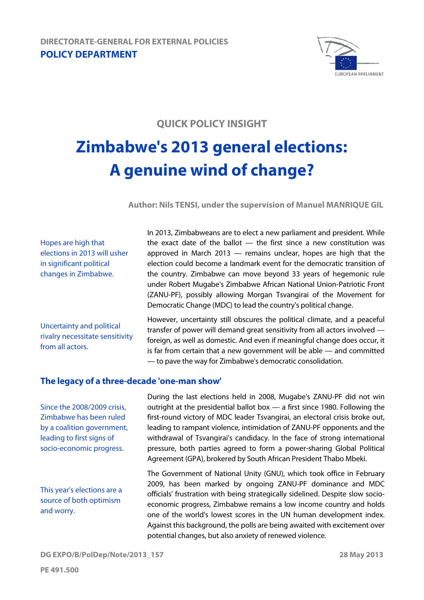

## **QUICK POLICY INSIGHT**

# **Zimbabwe's 2013 general elections: A genuine wind of change?**

**Author: Nils TENSI, under the supervision of Manuel MANRIQUE GIL** 

Hopes are high that elections in 2013 will usher in significant political changes in Zimbabwe.

Uncertainty and political rivalry necessitate sensitivity from all actors.

In 2013, Zimbabweans are to elect a new parliament and president. While the exact date of the ballot  $-$  the first since a new constitution was approved in March 2013 — remains unclear, hopes are high that the election could become a landmark event for the democratic transition of the country. Zimbabwe can move beyond 33 years of hegemonic rule under Robert Mugabe's Zimbabwe African National Union-Patriotic Front (ZANU-PF), possibly allowing Morgan Tsvangirai of the Movement for Democratic Change (MDC) to lead the country's political change.

However, uncertainty still obscures the political climate, and a peaceful transfer of power will demand great sensitivity from all actors involved foreign, as well as domestic. And even if meaningful change does occur, it is far from certain that a new government will be able — and committed — to pave the way for Zimbabwe's democratic consolidation.

### **The legacy of a three-decade 'one-man show'**

Since the 2008/2009 crisis, Zimbabwe has been ruled by a coalition government, leading to first signs of socio-economic progress.

This year's elections are a source of both optimism and worry.

During the last elections held in 2008, Mugabe's ZANU-PF did not win outright at the presidential ballot box — a first since 1980. Following the first-round victory of MDC leader Tsvangirai, an electoral crisis broke out, leading to rampant violence, intimidation of ZANU-PF opponents and the withdrawal of Tsvangirai's candidacy. In the face of strong international pressure, both parties agreed to form a power-sharing Global Political Agreement (GPA), brokered by South African President Thabo Mbeki.

The Government of National Unity (GNU), which took office in February 2009, has been marked by ongoing ZANU-PF dominance and MDC officials' frustration with being strategically sidelined. Despite slow socioeconomic progress, Zimbabwe remains a low income country and holds one of the world's lowest scores in the UN human development index. Against this background, the polls are being awaited with excitement over potential changes, but also anxiety of renewed violence.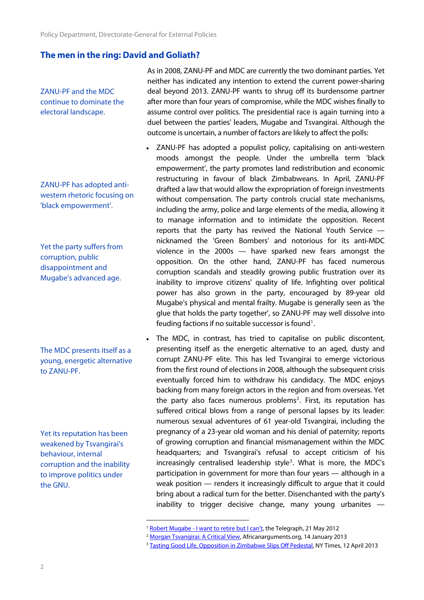#### **The men in the ring: David and Goliath?**

ZANU-PF and the MDC continue to dominate the electoral landscape.

ZANU-PF has adopted antiwestern rhetoric focusing on 'black empowerment'.

Yet the party suffers from corruption, public disappointment and Mugabe's advanced age.

The MDC presents itself as a young, energetic alternative to ZANU-PF.

<span id="page-1-2"></span><span id="page-1-1"></span><span id="page-1-0"></span>Yet its reputation has been weakened by Tsvangirai's behaviour, internal corruption and the inability to improve politics under the GNU.

As in 2008, ZANU-PF and MDC are currently the two dominant parties. Yet neither has indicated any intention to extend the current power-sharing deal beyond 2013. ZANU-PF wants to shrug off its burdensome partner after more than four years of compromise, while the MDC wishes finally to assume control over politics. The presidential race is again turning into a duel between the parties' leaders, Mugabe and Tsvangirai. Although the outcome is uncertain, a number of factors are likely to affect the polls:

- ZANU-PF has adopted a populist policy, capitalising on anti-western moods amongst the people. Under the umbrella term 'black empowerment', the party promotes land redistribution and economic restructuring in favour of black Zimbabweans. In April, ZANU-PF drafted a law that would allow the expropriation of foreign investments without compensation. The party controls crucial state mechanisms, including the army, police and large elements of the media, allowing it to manage information and to intimidate the opposition. Recent reports that the party has revived the National Youth Service nicknamed the 'Green Bombers' and notorious for its anti-MDC violence in the 2000s — have sparked new fears amongst the opposition. On the other hand, ZANU-PF has faced numerous corruption scandals and steadily growing public frustration over its inability to improve citizens' quality of life. Infighting over political power has also grown in the party, encouraged by 89-year old Mugabe's physical and mental frailty. Mugabe is generally seen as 'the glue that holds the party together', so ZANU-PF may well dissolve into feuding factions if no suitable successor is found<sup>1</sup>.
- The MDC, in contrast, has tried to capitalise on public discontent, presenting itself as the energetic alternative to an aged, dusty and corrupt ZANU-PF elite. This has led Tsvangirai to emerge victorious from the first round of elections in 2008, although the subsequent crisis eventually forced him to withdraw his candidacy. The MDC enjoys backing from many foreign actors in the region and from overseas. Yet the party also faces numerous problems<sup>[2](#page-1-1)</sup>. First, its reputation has suffered critical blows from a range of personal lapses by its leader: numerous sexual adventures of 61 year-old Tsvangirai, including the pregnancy of a 23-year old woman and his denial of paternity; reports of growing corruption and financial mismanagement within the MDC headquarters; and Tsvangirai's refusal to accept criticism of his increasingly centralised leadership style<sup>[3](#page-1-2)</sup>. What is more, the MDC's participation in government for more than four years — although in a weak position — renders it increasingly difficult to argue that it could bring about a radical turn for the better. Disenchanted with the party's inability to trigger decisive change, many young urbanites —

<sup>1</sup> 

<sup>&</sup>lt;sup>1</sup> [Robert Mugabe - I want to retire but I can't](http://www.telegraph.co.uk/news/worldnews/africaandindianocean/zimbabwe/9278107/Robert-Mugabe-I-want-to-retire-but-I-cant.html), the Telegraph, 21 May 2012<br><sup>2</sup> <u>[Morgan Tsvangirai: A Critical View](http://africanarguments.org/2013/01/14/morgan-tsvangirai-a-critical-view-%E2%80%93-by-simukai-tinhu/)</u>, Africanarguments.org, 14 January 2013<br><sup>3</sup> <u>[Tasting Good Life, Opposition in Zimbabwe Slips Off Pedestal](http://www.nytimes.com/2013/04/13/world/africa/dismay-grows-in-zimbabwe-as-underdog-party-tastes-good-life.html?pagewanted=all&_r=0)</u>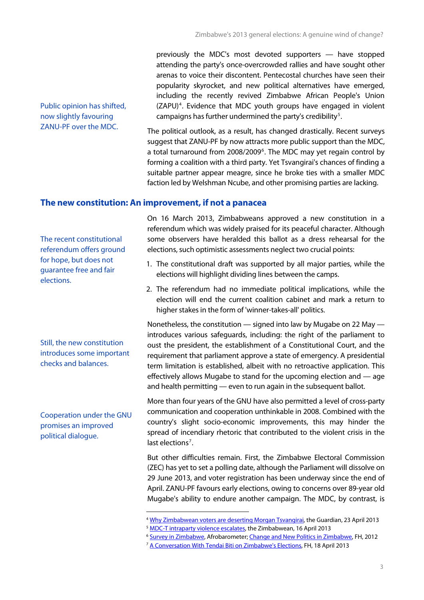previously the MDC's most devoted supporters — have stopped attending the party's once-overcrowded rallies and have sought other arenas to voice their discontent. Pentecostal churches have seen their popularity skyrocket, and new political alternatives have emerged, including the recently revived Zimbabwe African People's Union (ZAPU)<sup>4</sup>. Evidence that MDC youth groups have engaged in violent campaigns has further undermined the party's credibility<sup>5</sup>.

The political outlook, as a result, has changed drastically. Recent surveys suggest that ZANU-PF by now attracts more public support than the MDC, a total turnaround from 2008/2009<sup>[6](#page-2-0)</sup>. The MDC may yet regain control by forming a coalition with a third party. Yet Tsvangirai's chances of finding a suitable partner appear meagre, since he broke ties with a smaller MDC faction led by Welshman Ncube, and other promising parties are lacking.

#### **The new constitution: An improvement, if not a panacea**

1

The recent constitutional referendum offers ground for hope, but does not guarantee free and fair elections.

Public opinion has shifted, now slightly favouring ZANU-PF over the MDC.

Still, the new constitution introduces some important checks and balances.

<span id="page-2-1"></span><span id="page-2-0"></span>Cooperation under the GNU promises an improved political dialogue.

On 16 March 2013, Zimbabweans approved a new constitution in a referendum which was widely praised for its peaceful character. Although some observers have heralded this ballot as a dress rehearsal for the elections, such optimistic assessments neglect two crucial points:

- 1. The constitutional draft was supported by all major parties, while the elections will highlight dividing lines between the camps.
- 2. The referendum had no immediate political implications, while the election will end the current coalition cabinet and mark a return to higher stakes in the form of 'winner-takes-all' politics.

Nonetheless, the constitution — signed into law by Mugabe on 22 May introduces various safeguards, including: the right of the parliament to oust the president, the establishment of a Constitutional Court, and the requirement that parliament approve a state of emergency. A presidential term limitation is established, albeit with no retroactive application. This effectively allows Mugabe to stand for the upcoming election and — age and health permitting — even to run again in the subsequent ballot.

More than four years of the GNU have also permitted a level of cross-party communication and cooperation unthinkable in 2008. Combined with the country's slight socio-economic improvements, this may hinder the spread of incendiary rhetoric that contributed to the violent crisis in the last elections<sup>[7](#page-2-1)</sup>.

But other difficulties remain. First, the Zimbabwe Electoral Commission (ZEC) has yet to set a polling date, although the Parliament will dissolve on 29 June 2013, and voter registration has been underway since the end of April. ZANU-PF favours early elections, owing to concerns over 89-year old Mugabe's ability to endure another campaign. The MDC, by contrast, is

<sup>&</sup>lt;sup>4</sup> [Why Zimbabwean voters are deserting Morgan Tsvangirai,](http://www.guardian.co.uk/world/2013/apr/23/zimbabwe-tsvangirai-mugabe-election) the Guardian, 23 April 2013<br><sup>5</sup> [MDC-T intraparty violence escalates](http://www.thezimbabwean.co.uk/news/zimbabwe/65025/mdc-t-intraparty-violence-escalates.html), the Zimbabwean, 16 April 2013<br><sup>6</sup> [Survey in Zimbabwe,](http://www.afrobarometer.org/files/documents/summary_results/zim_r5_sor.pdf) Afrobarometer; Change and New Politics i